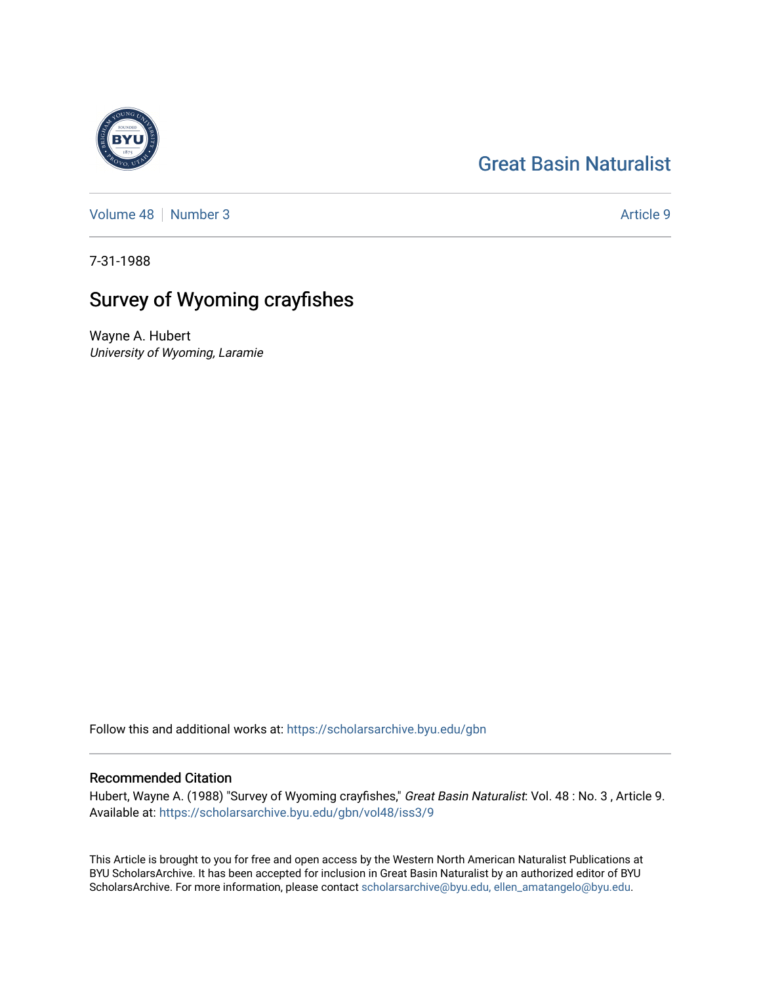## [Great Basin Naturalist](https://scholarsarchive.byu.edu/gbn)

[Volume 48](https://scholarsarchive.byu.edu/gbn/vol48) [Number 3](https://scholarsarchive.byu.edu/gbn/vol48/iss3) Article 9

7-31-1988

# Survey of Wyoming crayfishes

Wayne A. Hubert University of Wyoming, Laramie

Follow this and additional works at: [https://scholarsarchive.byu.edu/gbn](https://scholarsarchive.byu.edu/gbn?utm_source=scholarsarchive.byu.edu%2Fgbn%2Fvol48%2Fiss3%2F9&utm_medium=PDF&utm_campaign=PDFCoverPages) 

## Recommended Citation

Hubert, Wayne A. (1988) "Survey of Wyoming crayfishes," Great Basin Naturalist: Vol. 48 : No. 3 , Article 9. Available at: [https://scholarsarchive.byu.edu/gbn/vol48/iss3/9](https://scholarsarchive.byu.edu/gbn/vol48/iss3/9?utm_source=scholarsarchive.byu.edu%2Fgbn%2Fvol48%2Fiss3%2F9&utm_medium=PDF&utm_campaign=PDFCoverPages)

This Article is brought to you for free and open access by the Western North American Naturalist Publications at BYU ScholarsArchive. It has been accepted for inclusion in Great Basin Naturalist by an authorized editor of BYU ScholarsArchive. For more information, please contact [scholarsarchive@byu.edu, ellen\\_amatangelo@byu.edu.](mailto:scholarsarchive@byu.edu,%20ellen_amatangelo@byu.edu)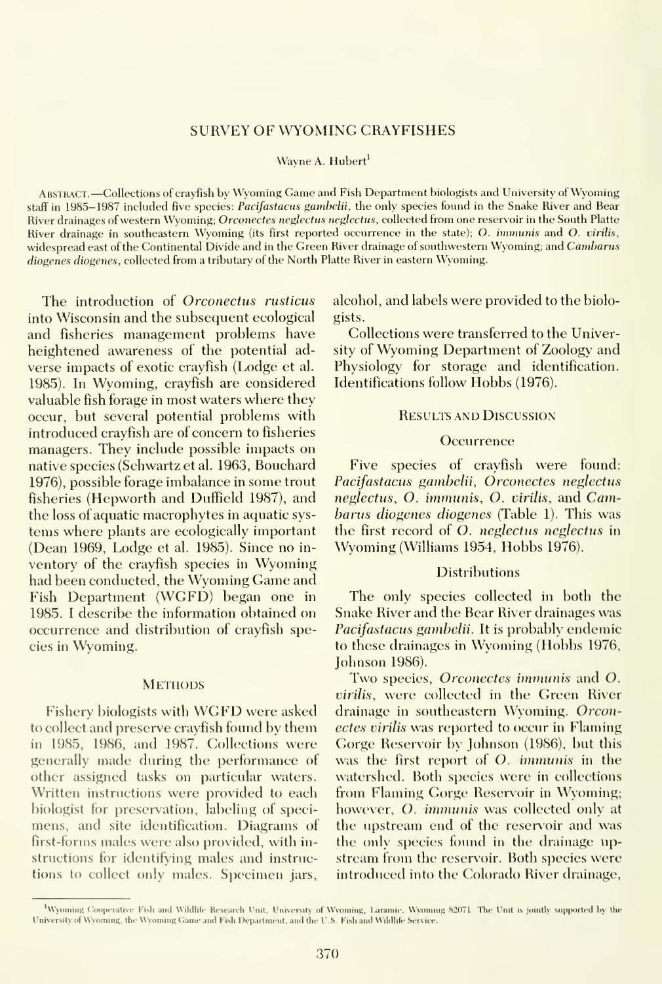### SURVEY OF WYOMING CRAYFISHES

#### Wayne A. Hubert

Abstract. —Collections of crayfish by Wyoming Game and Fish Department biologists and University of Wyoming staff in 1985-1987 included five species: Pacifastacus gamhelii, the only species found in the Snake River and Bear River drainages of western Wyoming; Orconectes neglectus neglectus, collected from one reservoir in the South Platte River drainage in southeastern Wyoming (its first reported occurrence in the state); O. *immunis* and O. virilis, widespread east of the Continental Divide and in the Green River drainage of southwestern Wyoming; and Cambarus diogenes diogenes, collected from a tributary of the North Platte River in eastern Wyoming.

The introduction of Orconectus rusticus into Wisconsin and the subsequent ecological and fisheries management problems have heightened awareness of the potential ad verse impacts of exotic crayfish (Lodge et al. 1985). In Wyoming, crayfish are considered valuable fish forage in most waters where they occur, but several potential problems with introduced crayfish are of concern to fisheries managers. They include possible impacts on native species (Schwartz et al. 1963, Bouchard 1976), possible forage imbalance in some trout fisheries (Hepworth and Duffield 1987), and the loss of aquatic macrophytes in aquatic sys tems where plants are ecologically important (Dean 1969, Lodge et al. 1985). Since no in ventory of the crayfish species in Wyoming had been conducted, the Wyoming Game and Fish Department (WGFD) began one in 1985. <sup>I</sup> describe the information obtained on occurrence and distribution of crayfish species in Wyoming.

### **METHODS**

Fishery biologists with WGFD were asked to collect and preserve cravfish found bv them in 1985, 1986, and 1987. Collections were generally made during the performance of other assigned tasks on particular waters. Written instructions were provided to each biologist for preservation, labeling of specimens, and site identification. Diagrams of first-forms males were also provided, with in structions for identifying males and instructions to collect only males. Specimen jars.

alcohol, and labels were provided to the biologists.

Collections were transferred to the University of Wyoming Department of Zoology and Physiology for storage and identification. Identifications follow Hobbs (1976).

## Results and Discussion

#### **Occurrence**

Five species of crayfish were found: Pacifastacus gambelii, Orconectes neglectus neglectus, O. iinmunis, O. virilis, and Cambarus diogenes diogenes (Table 1). This was the first record of O. neglectus neglectus in Wyoming (Williams 1954, Hobbs 1976).

#### Distributions

The only species collected in both the Snake River and the Bear River drainages was Pacifastacus gamhelii. It is probably endemic to these drainages in Wvoming (Hobbs 1976, Johnson 1986).

Two species, *Orconectes immunis* and O. virilis, were collected in the Green River drainage in southeastern Wyoming. Orconectes virilis was reported to occur in Flaming Gorge Reservoir by Johnson (1986), but this was the first report of O. immunis in the watershed. Both species were in collections from Flaming Gorge Reservoir in Wyoming; however, O. immunis was collected only at the upstream end of the reservoir and was the only species found in the drainage up stream from the reservoir. Both species were introduced into the Colorado River drainage,

<sup>&</sup>lt;sup>1</sup>Wyoming Cooperative-Fish and Wildlife- Research Unit, University of Wyoming, Laramie, Wyoming 82071. The Unit is jointly supported by the University of Wyoming, the Wyoming Came and Fish Department, and the U.S. Fish and Wildlife Service.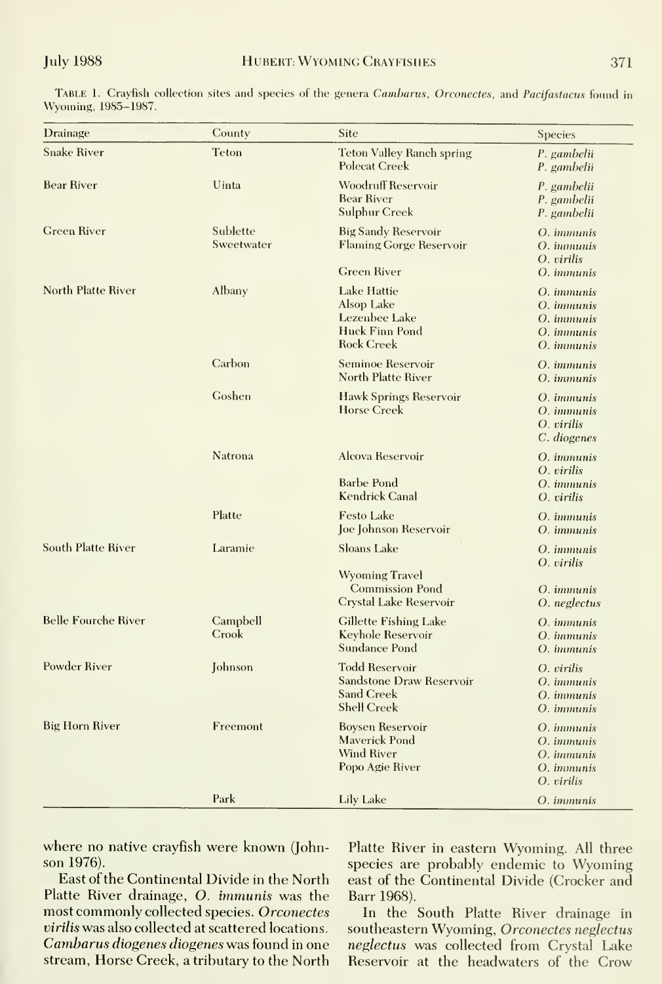| Drainage                   | County                 | Site                                                                                                | <b>Species</b>                                                                                        |
|----------------------------|------------------------|-----------------------------------------------------------------------------------------------------|-------------------------------------------------------------------------------------------------------|
| <b>Snake River</b>         | <b>Teton</b>           | <b>Teton Valley Ranch spring</b><br><b>Polecat Creek</b>                                            | P. gambelii<br>P. gambelii                                                                            |
| <b>Bear River</b>          | Uinta                  | <b>Woodruff Reservoir</b><br><b>Bear River</b><br>Sulphur Creek                                     | P. gambelii<br>P. gambelii<br>P. gambelii                                                             |
| <b>Green River</b>         | Sublette<br>Sweetwater | <b>Big Sandy Reservoir</b><br><b>Flaming Gorge Reservoir</b>                                        | O. <i>immunis</i><br>O. <i>immunis</i><br>O. virilis                                                  |
|                            |                        | <b>Green River</b>                                                                                  | O. <i>immunis</i>                                                                                     |
| North Platte River         | Albany                 | Lake Hattie<br>Alsop Lake<br>Lezenbee Lake<br>Huck Finn Pond<br><b>Rock Creek</b>                   | O. <i>immunis</i><br>O. <i>immunis</i><br>O. <i>immunis</i><br>O. <i>immunis</i><br>O. <i>immunis</i> |
|                            | Carbon                 | Seminoe Reservoir<br>North Platte River                                                             | O. <i>immunis</i><br>O. immunis                                                                       |
|                            | Goshen                 | Hawk Springs Reservoir<br><b>Horse Creek</b>                                                        | O. <i>immunis</i><br>O. <i>immunis</i><br>O. virilis<br>C. diogenes                                   |
|                            | Natrona                | Alcova Reservoir<br>Barbe Pond<br>Kendrick Canal                                                    | O. <i>immunis</i><br>O. virilis<br>O. <i>immunis</i><br>$O.$ <i>pirilis</i>                           |
|                            | Platte                 | <b>Festo Lake</b><br>Joe Johnson Reservoir                                                          | O. <i>immunis</i><br>O. <i>immunis</i>                                                                |
| South Platte River         | Laramie                | <b>Sloans Lake</b>                                                                                  | O. <i>immunis</i><br>O. virilis                                                                       |
|                            |                        | <b>Wyoming Travel</b><br><b>Commission Pond</b><br>Crystal Lake Reservoir                           | O. <i>immunis</i><br>O. neglectus                                                                     |
| <b>Belle Fourche River</b> | Campbell<br>Crook      | <b>Gillette Fishing Lake</b><br>Keyhole Reservoir<br>Sundance Pond                                  | O. <i>immunis</i><br>O. immunis<br>O. <i>immunis</i>                                                  |
| <b>Powder River</b>        | Johnson                | <b>Todd Reservoir</b><br><b>Sandstone Draw Reservoir</b><br><b>Sand Creek</b><br><b>Shell Creek</b> | O. virilis<br>O. <i>immunis</i><br>O. <i>immunis</i><br>O. immunis                                    |
| <b>Big Horn River</b>      | Freemont               | <b>Boysen Reservoir</b><br><b>Maverick Pond</b><br><b>Wind River</b><br>Popo Agie River             | O. <i>immunis</i><br>O. <i>immunis</i><br>O. <i>immunis</i><br>O. <i>immunis</i><br>O. virilis        |
|                            | Park                   | Lily Lake                                                                                           | O. <i>immunis</i>                                                                                     |

TABLE 1. Crayfish collection sites and species of the genera Cambarus, Orconectes, and Pacifastacus found in Wyoming, 1985-1987.

where no native crayfish were known (Johnson 1976).

East of the Continental Divide in the North Platte River drainage, O. immunis was the most commonly collected species. Orconectes virilis was also collected at scattered locations. Cambarus diogenes diogenes was found in one stream, Horse Creek, a tributary to the North

Platte River in eastern Wyoming. All three species are probably endemic to Wyoming east of the Continental Divide (Crocker and Barr 1968).

In the South Platte River drainage in southeastern Wyoming, Orconectes neglectus neglectus was collected from Crystal Lake Reservoir at the headwaters of the Crow